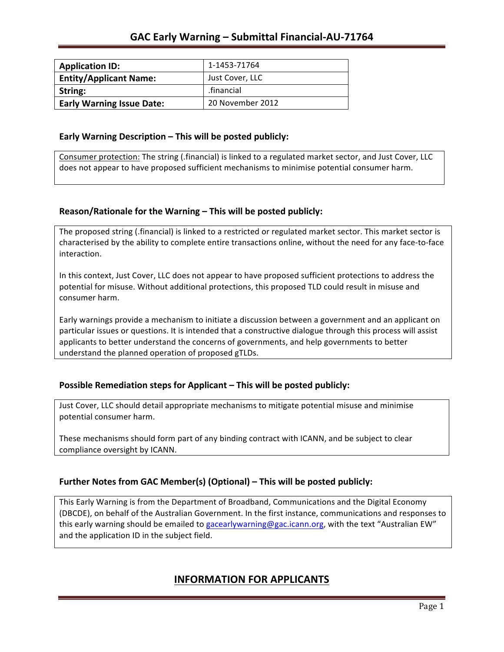| <b>Application ID:</b>           | 1-1453-71764     |
|----------------------------------|------------------|
| <b>Entity/Applicant Name:</b>    | Just Cover, LLC  |
| String:                          | .financial       |
| <b>Early Warning Issue Date:</b> | 20 November 2012 |

### **Early Warning Description – This will be posted publicly:**

Consumer protection: The string (.financial) is linked to a regulated market sector, and Just Cover, LLC does not appear to have proposed sufficient mechanisms to minimise potential consumer harm.

## **Reason/Rationale for the Warning – This will be posted publicly:**

The proposed string (.financial) is linked to a restricted or regulated market sector. This market sector is characterised by the ability to complete entire transactions online, without the need for any face-to-face interaction.

In this context, Just Cover, LLC does not appear to have proposed sufficient protections to address the potential for misuse. Without additional protections, this proposed TLD could result in misuse and consumer harm.

Early warnings provide a mechanism to initiate a discussion between a government and an applicant on particular issues or questions. It is intended that a constructive dialogue through this process will assist applicants to better understand the concerns of governments, and help governments to better understand the planned operation of proposed gTLDs.

## **Possible Remediation steps for Applicant – This will be posted publicly:**

Just Cover, LLC should detail appropriate mechanisms to mitigate potential misuse and minimise potential consumer harm.

These mechanisms should form part of any binding contract with ICANN, and be subject to clear compliance oversight by ICANN.

## **Further Notes from GAC Member(s) (Optional)** – This will be posted publicly:

This Early Warning is from the Department of Broadband, Communications and the Digital Economy (DBCDE), on behalf of the Australian Government. In the first instance, communications and responses to this early warning should be emailed to gacearlywarning@gac.icann.org, with the text "Australian EW" and the application ID in the subject field.

## **INFORMATION FOR APPLICANTS**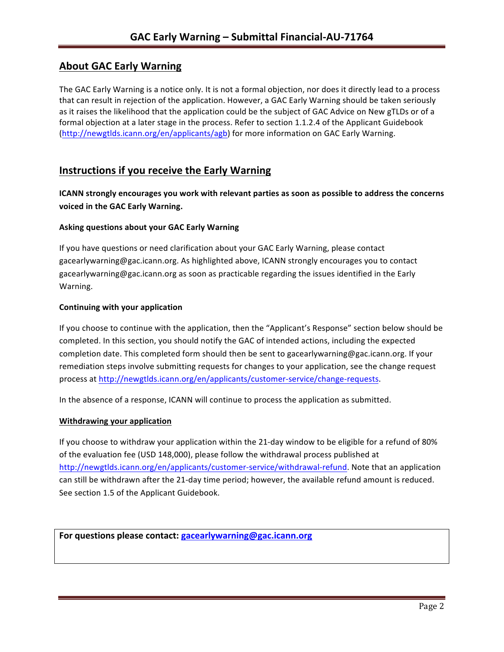# **About GAC Early Warning**

The GAC Early Warning is a notice only. It is not a formal objection, nor does it directly lead to a process that can result in rejection of the application. However, a GAC Early Warning should be taken seriously as it raises the likelihood that the application could be the subject of GAC Advice on New gTLDs or of a formal objection at a later stage in the process. Refer to section 1.1.2.4 of the Applicant Guidebook (http://newgtlds.icann.org/en/applicants/agb) for more information on GAC Early Warning.

## **Instructions if you receive the Early Warning**

**ICANN** strongly encourages you work with relevant parties as soon as possible to address the concerns **voiced in the GAC Early Warning.** 

### **Asking questions about your GAC Early Warning**

If you have questions or need clarification about your GAC Early Warning, please contact gacearlywarning@gac.icann.org. As highlighted above, ICANN strongly encourages you to contact gacearlywarning@gac.icann.org as soon as practicable regarding the issues identified in the Early Warning. 

#### **Continuing with your application**

If you choose to continue with the application, then the "Applicant's Response" section below should be completed. In this section, you should notify the GAC of intended actions, including the expected completion date. This completed form should then be sent to gacearlywarning@gac.icann.org. If your remediation steps involve submitting requests for changes to your application, see the change request process at http://newgtlds.icann.org/en/applicants/customer-service/change-requests.

In the absence of a response, ICANN will continue to process the application as submitted.

#### **Withdrawing your application**

If you choose to withdraw your application within the 21-day window to be eligible for a refund of 80% of the evaluation fee (USD 148,000), please follow the withdrawal process published at http://newgtlds.icann.org/en/applicants/customer-service/withdrawal-refund. Note that an application can still be withdrawn after the 21-day time period; however, the available refund amount is reduced. See section 1.5 of the Applicant Guidebook.

```
For questions please contact: gacearlywarning@gac.icann.org
```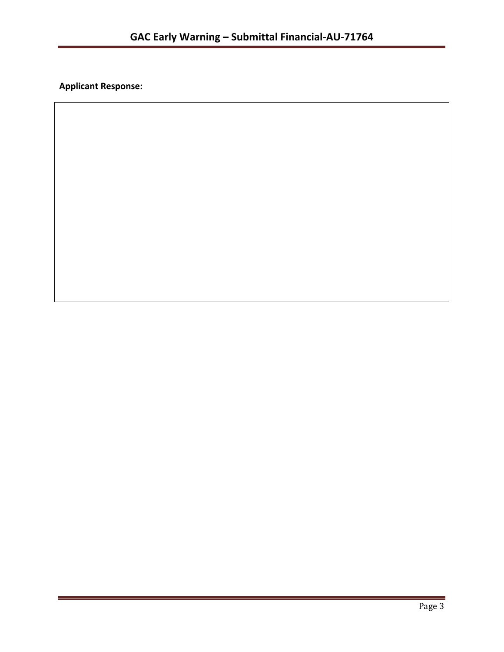**Applicant Response:**